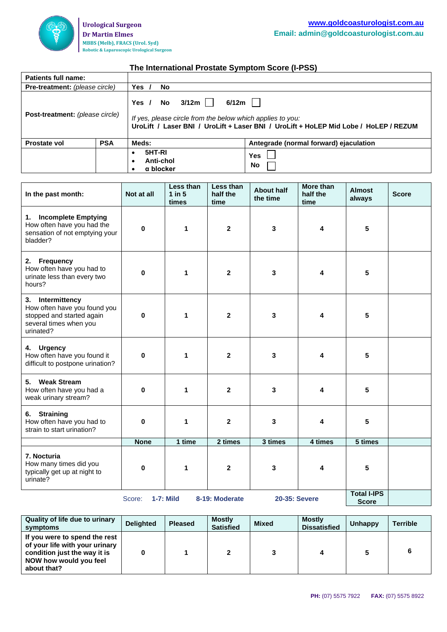

## **The International Prostate Symptom Score (I-PSS)**

| Patients full name:                   |            |                                                                                                                                                                                               |                                        |  |  |  |  |
|---------------------------------------|------------|-----------------------------------------------------------------------------------------------------------------------------------------------------------------------------------------------|----------------------------------------|--|--|--|--|
| <b>Pre-treatment:</b> (please circle) |            | Yes<br>No                                                                                                                                                                                     |                                        |  |  |  |  |
| Post-treatment: (please circle)       |            | 3/12m l l<br>$6/12m$  <br>No<br>Yes $/$<br>If yes, please circle from the below which applies to you:<br>UroLift / Laser BNI / UroLift + Laser BNI / UroLift + HoLEP Mid Lobe / HoLEP / REZUM |                                        |  |  |  |  |
| <b>Prostate vol</b>                   | <b>PSA</b> | Meds:                                                                                                                                                                                         | Antegrade (normal forward) ejaculation |  |  |  |  |
|                                       |            | 5HT-RI<br>٠<br>Anti-chol<br>$\bullet$<br>α blocker<br>٠                                                                                                                                       | Yes<br><b>No</b>                       |  |  |  |  |

| In the past month:                                                                                                   | Not at all  | Less than<br>$1$ in $5$<br>times | Less than<br>half the<br>time | <b>About half</b><br>the time      | <b>More than</b><br>half the<br>time | <b>Almost</b><br>always | <b>Score</b> |
|----------------------------------------------------------------------------------------------------------------------|-------------|----------------------------------|-------------------------------|------------------------------------|--------------------------------------|-------------------------|--------------|
| 1. Incomplete Emptying<br>How often have you had the<br>sensation of not emptying your<br>bladder?                   | $\mathbf 0$ | 1                                | $\mathbf{2}$                  | 3                                  | 4                                    | 5                       |              |
| 2. Frequency<br>How often have you had to<br>urinate less than every two<br>hours?                                   | $\bf{0}$    | 1                                | $\mathbf{2}$                  | 3                                  | 4                                    | 5                       |              |
| 3. Intermittency<br>How often have you found you<br>stopped and started again<br>several times when you<br>urinated? | $\bf{0}$    | 1                                | $\mathbf{2}$                  | 3                                  | 4                                    | 5                       |              |
| 4. Urgency<br>How often have you found it<br>difficult to postpone urination?                                        | 0           | 1                                | $\mathbf{2}$                  | 3                                  | 4                                    | 5                       |              |
| 5. Weak Stream<br>How often have you had a<br>weak urinary stream?                                                   | 0           | 1                                | $\mathbf{2}$                  | 3                                  | 4                                    | 5                       |              |
| <b>Straining</b><br>6.<br>How often have you had to<br>strain to start urination?                                    | 0           | 1                                | $\mathbf{2}$                  | 3                                  | 4                                    | 5                       |              |
|                                                                                                                      | <b>None</b> | 1 time                           | 2 times                       | 3 times                            | 4 times                              | 5 times                 |              |
| 7. Nocturia<br>How many times did you<br>typically get up at night to<br>urinate?                                    | $\bf{0}$    | 1                                | $\mathbf{2}$                  | 3                                  | 4                                    | 5                       |              |
| <b>20-35: Severe</b><br><b>1-7: Mild</b><br>8-19: Moderate<br>Score:                                                 |             |                                  |                               | <b>Total I-IPS</b><br><b>Score</b> |                                      |                         |              |

| Quality of life due to urinary<br>symptoms                                                                                               | <b>Deliahted</b> | <b>Pleased</b> | <b>Mostly</b><br><b>Satisfied</b> | <b>Mixed</b> | <b>Mostly</b><br><b>Dissatisfied</b> | Unhappy | <b>Terrible</b> |
|------------------------------------------------------------------------------------------------------------------------------------------|------------------|----------------|-----------------------------------|--------------|--------------------------------------|---------|-----------------|
| If you were to spend the rest<br>of your life with your urinary<br>condition just the way it is<br>NOW how would you feel<br>about that? |                  |                |                                   |              | 4                                    |         |                 |